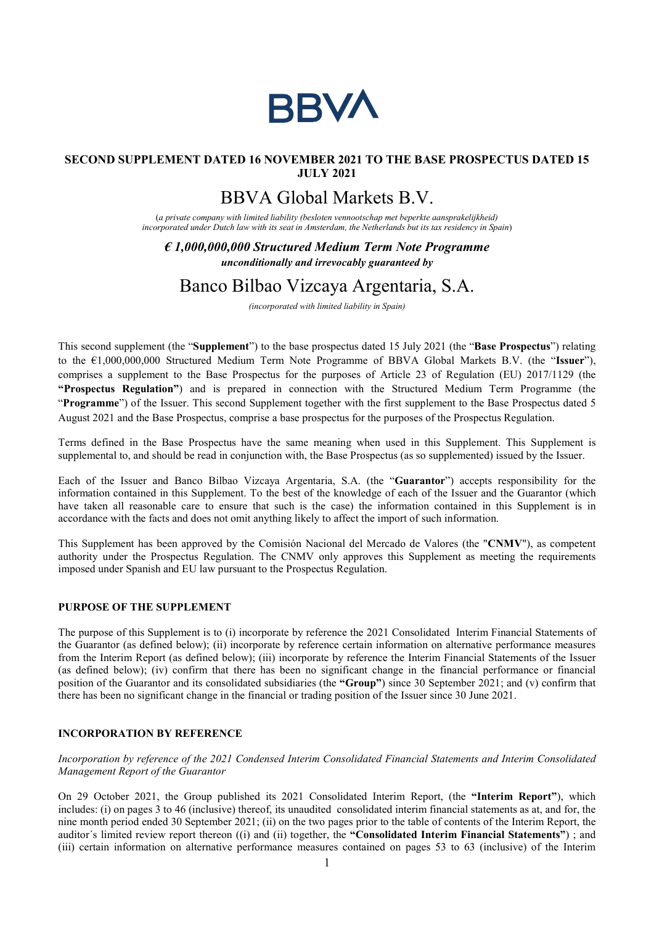

### SECOND SUPPLEMENT DATED 16 NOVEMBER 2021 TO THE BASE PROSPECTUS DATED 15 JULY 2021

# BBVA Global Markets B.V.

(a private company with limited liability (besloten vennootschap met beperkte aansprakelijkheid) incorporated under Dutch law with its seat in Amsterdam, the Netherlands but its tax residency in Spain)

## $\epsilon$  1,000,000,000 Structured Medium Term Note Programme unconditionally and irrevocably guaranteed by

## Banco Bilbao Vizcaya Argentaria, S.A.

(incorporated with limited liability in Spain)

This second supplement (the "Supplement") to the base prospectus dated 15 July 2021 (the "Base Prospectus") relating to the €1,000,000,000 Structured Medium Term Note Programme of BBVA Global Markets B.V. (the "Issuer"), comprises a supplement to the Base Prospectus for the purposes of Article 23 of Regulation (EU) 2017/1129 (the "Prospectus Regulation") and is prepared in connection with the Structured Medium Term Programme (the "Programme") of the Issuer. This second Supplement together with the first supplement to the Base Prospectus dated 5 August 2021 and the Base Prospectus, comprise a base prospectus for the purposes of the Prospectus Regulation.

Terms defined in the Base Prospectus have the same meaning when used in this Supplement. This Supplement is supplemental to, and should be read in conjunction with, the Base Prospectus (as so supplemented) issued by the Issuer.

Each of the Issuer and Banco Bilbao Vizcaya Argentaria, S.A. (the "Guarantor") accepts responsibility for the information contained in this Supplement. To the best of the knowledge of each of the Issuer and the Guarantor (which have taken all reasonable care to ensure that such is the case) the information contained in this Supplement is in accordance with the facts and does not omit anything likely to affect the import of such information.

This Supplement has been approved by the Comisión Nacional del Mercado de Valores (the "CNMV"), as competent authority under the Prospectus Regulation. The CNMV only approves this Supplement as meeting the requirements imposed under Spanish and EU law pursuant to the Prospectus Regulation.

#### PURPOSE OF THE SUPPLEMENT

The purpose of this Supplement is to (i) incorporate by reference the 2021 Consolidated Interim Financial Statements of the Guarantor (as defined below); (ii) incorporate by reference certain information on alternative performance measures from the Interim Report (as defined below); (iii) incorporate by reference the Interim Financial Statements of the Issuer (as defined below); (iv) confirm that there has been no significant change in the financial performance or financial position of the Guarantor and its consolidated subsidiaries (the "Group") since 30 September 2021; and (v) confirm that there has been no significant change in the financial or trading position of the Issuer since 30 June 2021.

#### INCORPORATION BY REFERENCE

Incorporation by reference of the 2021 Condensed Interim Consolidated Financial Statements and Interim Consolidated Management Report of the Guarantor

On 29 October 2021, the Group published its 2021 Consolidated Interim Report, (the "Interim Report"), which includes: (i) on pages 3 to 46 (inclusive) thereof, its unaudited consolidated interim financial statements as at, and for, the nine month period ended 30 September 2021; (ii) on the two pages prior to the table of contents of the Interim Report, the auditor's limited review report thereon ((i) and (ii) together, the "Consolidated Interim Financial Statements"); and (iii) certain information on alternative performance measures contained on pages 53 to 63 (inclusive) of the Interim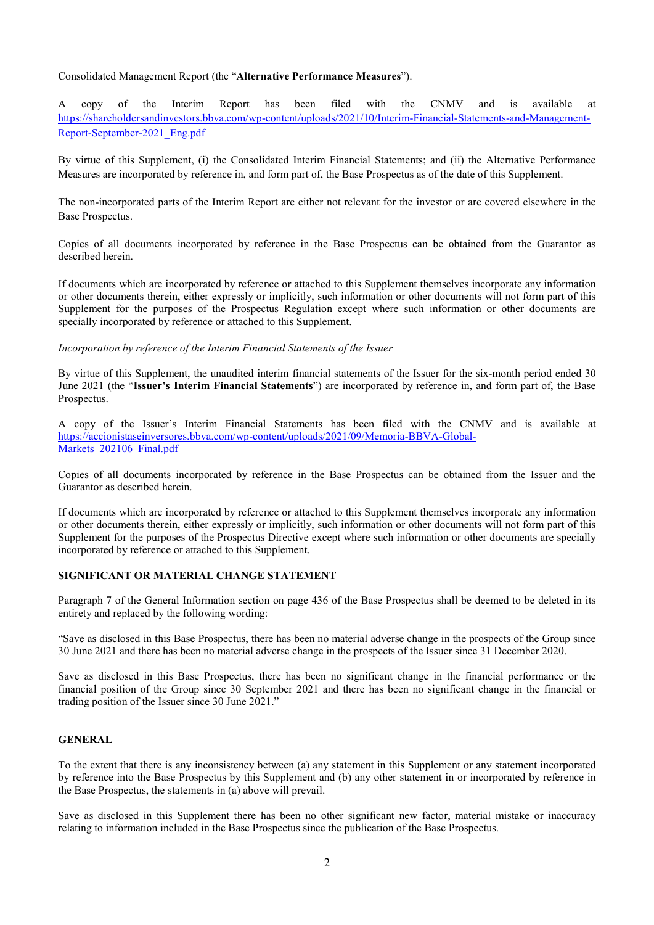#### Consolidated Management Report (the "Alternative Performance Measures").

A copy of the Interim Report has been filed with the CNMV and is available at https://shareholdersandinvestors.bbva.com/wp-content/uploads/2021/10/Interim-Financial-Statements-and-Management-Report-September-2021\_Eng.pdf

By virtue of this Supplement, (i) the Consolidated Interim Financial Statements; and (ii) the Alternative Performance Measures are incorporated by reference in, and form part of, the Base Prospectus as of the date of this Supplement.

The non-incorporated parts of the Interim Report are either not relevant for the investor or are covered elsewhere in the Base Prospectus.

Copies of all documents incorporated by reference in the Base Prospectus can be obtained from the Guarantor as described herein.

If documents which are incorporated by reference or attached to this Supplement themselves incorporate any information or other documents therein, either expressly or implicitly, such information or other documents will not form part of this Supplement for the purposes of the Prospectus Regulation except where such information or other documents are specially incorporated by reference or attached to this Supplement.

#### Incorporation by reference of the Interim Financial Statements of the Issuer

By virtue of this Supplement, the unaudited interim financial statements of the Issuer for the six-month period ended 30 June 2021 (the "Issuer's Interim Financial Statements") are incorporated by reference in, and form part of, the Base Prospectus.

A copy of the Issuer's Interim Financial Statements has been filed with the CNMV and is available at https://accionistaseinversores.bbva.com/wp-content/uploads/2021/09/Memoria-BBVA-Global-Markets 202106 Final.pdf

Copies of all documents incorporated by reference in the Base Prospectus can be obtained from the Issuer and the Guarantor as described herein.

If documents which are incorporated by reference or attached to this Supplement themselves incorporate any information or other documents therein, either expressly or implicitly, such information or other documents will not form part of this Supplement for the purposes of the Prospectus Directive except where such information or other documents are specially incorporated by reference or attached to this Supplement.

#### SIGNIFICANT OR MATERIAL CHANGE STATEMENT

Paragraph 7 of the General Information section on page 436 of the Base Prospectus shall be deemed to be deleted in its entirety and replaced by the following wording:

"Save as disclosed in this Base Prospectus, there has been no material adverse change in the prospects of the Group since 30 June 2021 and there has been no material adverse change in the prospects of the Issuer since 31 December 2020.

Save as disclosed in this Base Prospectus, there has been no significant change in the financial performance or the financial position of the Group since 30 September 2021 and there has been no significant change in the financial or trading position of the Issuer since 30 June 2021."

#### GENERAL

To the extent that there is any inconsistency between (a) any statement in this Supplement or any statement incorporated by reference into the Base Prospectus by this Supplement and (b) any other statement in or incorporated by reference in the Base Prospectus, the statements in (a) above will prevail.

Save as disclosed in this Supplement there has been no other significant new factor, material mistake or inaccuracy relating to information included in the Base Prospectus since the publication of the Base Prospectus.